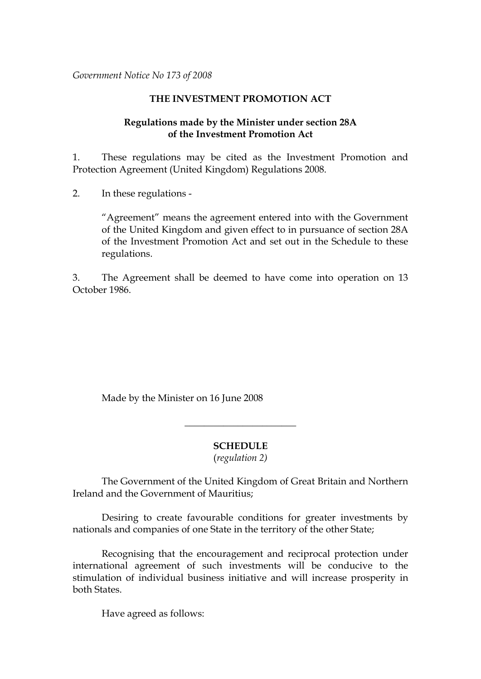*Government Notice No 173 of 2008* 

### **THE INVESTMENT PROMOTION ACT**

### **Regulations made by the Minister under section 28A of the Investment Promotion Act**

1. These regulations may be cited as the Investment Promotion and Protection Agreement (United Kingdom) Regulations 2008.

2. In these regulations -

"Agreement" means the agreement entered into with the Government of the United Kingdom and given effect to in pursuance of section 28A of the Investment Promotion Act and set out in the Schedule to these regulations.

3. The Agreement shall be deemed to have come into operation on 13 October 1986.

Made by the Minister on 16 June 2008

#### **SCHEDULE**

 $\overline{\phantom{a}}$  , where  $\overline{\phantom{a}}$  , where  $\overline{\phantom{a}}$  , where  $\overline{\phantom{a}}$ 

(*regulation 2)* 

The Government of the United Kingdom of Great Britain and Northern Ireland and the Government of Mauritius;

Desiring to create favourable conditions for greater investments by nationals and companies of one State in the territory of the other State;

Recognising that the encouragement and reciprocal protection under international agreement of such investments will be conducive to the stimulation of individual business initiative and will increase prosperity in both States.

Have agreed as follows: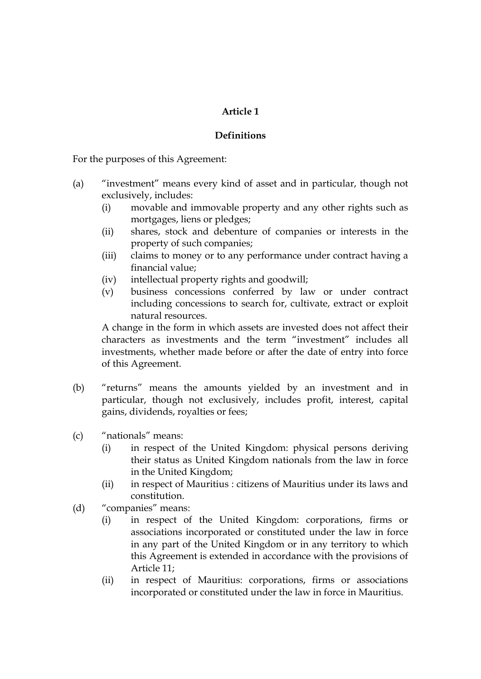## **Definitions**

For the purposes of this Agreement:

- (a) "investment" means every kind of asset and in particular, though not exclusively, includes:
	- (i) movable and immovable property and any other rights such as mortgages, liens or pledges;
	- (ii) shares, stock and debenture of companies or interests in the property of such companies;
	- (iii) claims to money or to any performance under contract having a financial value;
	- (iv) intellectual property rights and goodwill;
	- (v) business concessions conferred by law or under contract including concessions to search for, cultivate, extract or exploit natural resources.

A change in the form in which assets are invested does not affect their characters as investments and the term "investment" includes all investments, whether made before or after the date of entry into force of this Agreement.

- (b) "returns" means the amounts yielded by an investment and in particular, though not exclusively, includes profit, interest, capital gains, dividends, royalties or fees;
- (c) "nationals" means:
	- (i) in respect of the United Kingdom: physical persons deriving their status as United Kingdom nationals from the law in force in the United Kingdom;
	- (ii) in respect of Mauritius : citizens of Mauritius under its laws and constitution.
- (d) "companies" means:
	- (i) in respect of the United Kingdom: corporations, firms or associations incorporated or constituted under the law in force in any part of the United Kingdom or in any territory to which this Agreement is extended in accordance with the provisions of Article 11;
	- (ii) in respect of Mauritius: corporations, firms or associations incorporated or constituted under the law in force in Mauritius.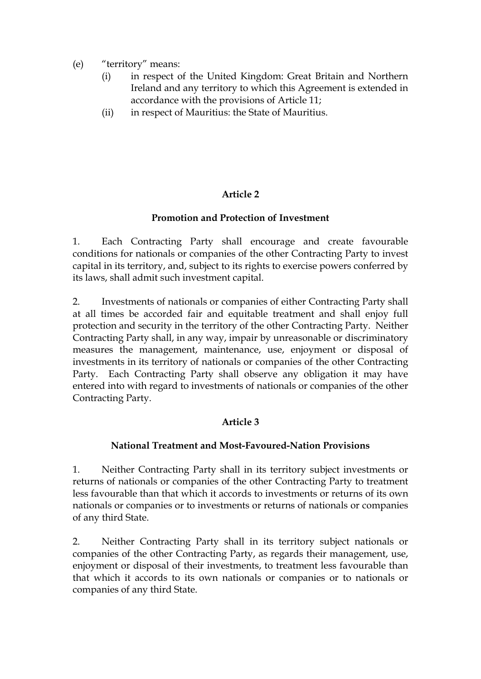- (e) "territory" means:
	- (i) in respect of the United Kingdom: Great Britain and Northern Ireland and any territory to which this Agreement is extended in accordance with the provisions of Article 11;
	- (ii) in respect of Mauritius: the State of Mauritius.

## **Promotion and Protection of Investment**

1. Each Contracting Party shall encourage and create favourable conditions for nationals or companies of the other Contracting Party to invest capital in its territory, and, subject to its rights to exercise powers conferred by its laws, shall admit such investment capital.

2. Investments of nationals or companies of either Contracting Party shall at all times be accorded fair and equitable treatment and shall enjoy full protection and security in the territory of the other Contracting Party. Neither Contracting Party shall, in any way, impair by unreasonable or discriminatory measures the management, maintenance, use, enjoyment or disposal of investments in its territory of nationals or companies of the other Contracting Party. Each Contracting Party shall observe any obligation it may have entered into with regard to investments of nationals or companies of the other Contracting Party.

# **Article 3**

## **National Treatment and Most-Favoured-Nation Provisions**

1. Neither Contracting Party shall in its territory subject investments or returns of nationals or companies of the other Contracting Party to treatment less favourable than that which it accords to investments or returns of its own nationals or companies or to investments or returns of nationals or companies of any third State.

2. Neither Contracting Party shall in its territory subject nationals or companies of the other Contracting Party, as regards their management, use, enjoyment or disposal of their investments, to treatment less favourable than that which it accords to its own nationals or companies or to nationals or companies of any third State.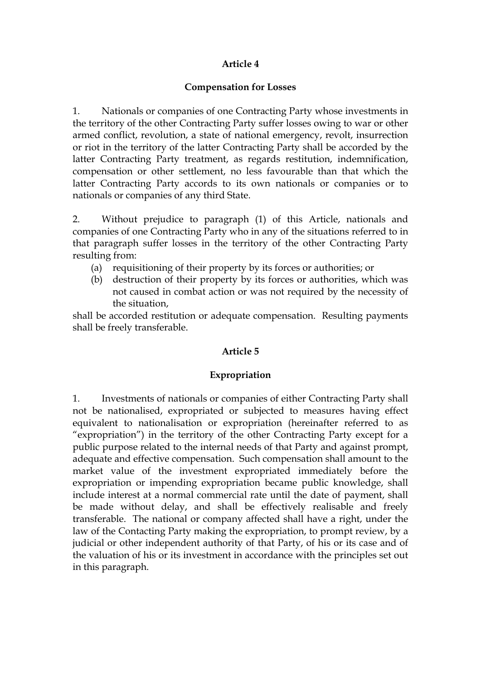### **Compensation for Losses**

1. Nationals or companies of one Contracting Party whose investments in the territory of the other Contracting Party suffer losses owing to war or other armed conflict, revolution, a state of national emergency, revolt, insurrection or riot in the territory of the latter Contracting Party shall be accorded by the latter Contracting Party treatment, as regards restitution, indemnification, compensation or other settlement, no less favourable than that which the latter Contracting Party accords to its own nationals or companies or to nationals or companies of any third State.

2. Without prejudice to paragraph (1) of this Article, nationals and companies of one Contracting Party who in any of the situations referred to in that paragraph suffer losses in the territory of the other Contracting Party resulting from:

- (a) requisitioning of their property by its forces or authorities; or
- (b) destruction of their property by its forces or authorities, which was not caused in combat action or was not required by the necessity of the situation,

shall be accorded restitution or adequate compensation. Resulting payments shall be freely transferable.

## **Article 5**

## **Expropriation**

1. Investments of nationals or companies of either Contracting Party shall not be nationalised, expropriated or subjected to measures having effect equivalent to nationalisation or expropriation (hereinafter referred to as "expropriation") in the territory of the other Contracting Party except for a public purpose related to the internal needs of that Party and against prompt, adequate and effective compensation. Such compensation shall amount to the market value of the investment expropriated immediately before the expropriation or impending expropriation became public knowledge, shall include interest at a normal commercial rate until the date of payment, shall be made without delay, and shall be effectively realisable and freely transferable. The national or company affected shall have a right, under the law of the Contacting Party making the expropriation, to prompt review, by a judicial or other independent authority of that Party, of his or its case and of the valuation of his or its investment in accordance with the principles set out in this paragraph.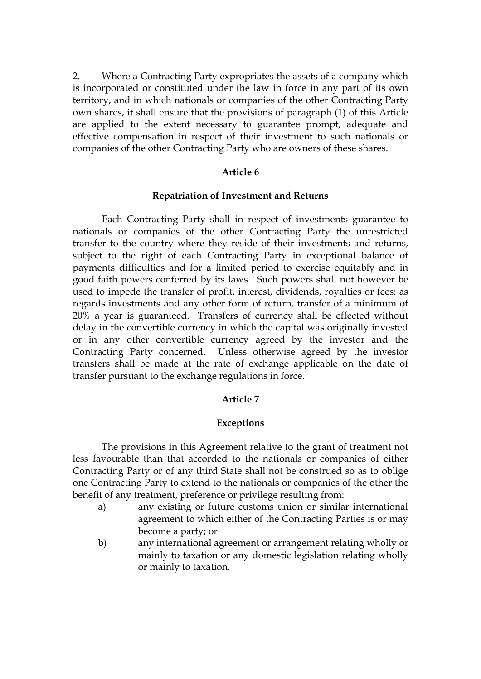2. Where a Contracting Party expropriates the assets of a company which is incorporated or constituted under the law in force in any part of its own territory, and in which nationals or companies of the other Contracting Party own shares, it shall ensure that the provisions of paragraph (1) of this Article are applied to the extent necessary to guarantee prompt, adequate and effective compensation in respect of their investment to such nationals or companies of the other Contracting Party who are owners of these shares.

#### **Article 6**

#### **Repatriation of Investment and Returns**

 Each Contracting Party shall in respect of investments guarantee to nationals or companies of the other Contracting Party the unrestricted transfer to the country where they reside of their investments and returns, subject to the right of each Contracting Party in exceptional balance of payments difficulties and for a limited period to exercise equitably and in good faith powers conferred by its laws. Such powers shall not however be used to impede the transfer of profit, interest, dividends, royalties or fees: as regards investments and any other form of return, transfer of a minimum of 20% a year is guaranteed. Transfers of currency shall be effected without delay in the convertible currency in which the capital was originally invested or in any other convertible currency agreed by the investor and the Contracting Party concerned. Unless otherwise agreed by the investor transfers shall be made at the rate of exchange applicable on the date of transfer pursuant to the exchange regulations in force.

### **Article 7**

#### **Exceptions**

 The provisions in this Agreement relative to the grant of treatment not less favourable than that accorded to the nationals or companies of either Contracting Party or of any third State shall not be construed so as to oblige one Contracting Party to extend to the nationals or companies of the other the benefit of any treatment, preference or privilege resulting from:

- a) any existing or future customs union or similar international agreement to which either of the Contracting Parties is or may become a party; or
- b) any international agreement or arrangement relating wholly or mainly to taxation or any domestic legislation relating wholly or mainly to taxation.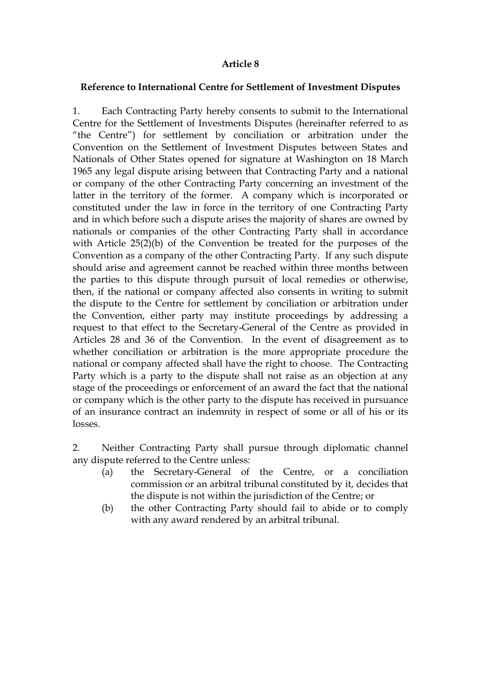### **Reference to International Centre for Settlement of Investment Disputes**

1. Each Contracting Party hereby consents to submit to the International Centre for the Settlement of Investments Disputes (hereinafter referred to as "the Centre") for settlement by conciliation or arbitration under the Convention on the Settlement of Investment Disputes between States and Nationals of Other States opened for signature at Washington on 18 March 1965 any legal dispute arising between that Contracting Party and a national or company of the other Contracting Party concerning an investment of the latter in the territory of the former. A company which is incorporated or constituted under the law in force in the territory of one Contracting Party and in which before such a dispute arises the majority of shares are owned by nationals or companies of the other Contracting Party shall in accordance with Article 25(2)(b) of the Convention be treated for the purposes of the Convention as a company of the other Contracting Party. If any such dispute should arise and agreement cannot be reached within three months between the parties to this dispute through pursuit of local remedies or otherwise, then, if the national or company affected also consents in writing to submit the dispute to the Centre for settlement by conciliation or arbitration under the Convention, either party may institute proceedings by addressing a request to that effect to the Secretary-General of the Centre as provided in Articles 28 and 36 of the Convention. In the event of disagreement as to whether conciliation or arbitration is the more appropriate procedure the national or company affected shall have the right to choose. The Contracting Party which is a party to the dispute shall not raise as an objection at any stage of the proceedings or enforcement of an award the fact that the national or company which is the other party to the dispute has received in pursuance of an insurance contract an indemnity in respect of some or all of his or its losses.

2. Neither Contracting Party shall pursue through diplomatic channel any dispute referred to the Centre unless:

- (a) the Secretary-General of the Centre, or a conciliation commission or an arbitral tribunal constituted by it, decides that the dispute is not within the jurisdiction of the Centre; or
- (b) the other Contracting Party should fail to abide or to comply with any award rendered by an arbitral tribunal.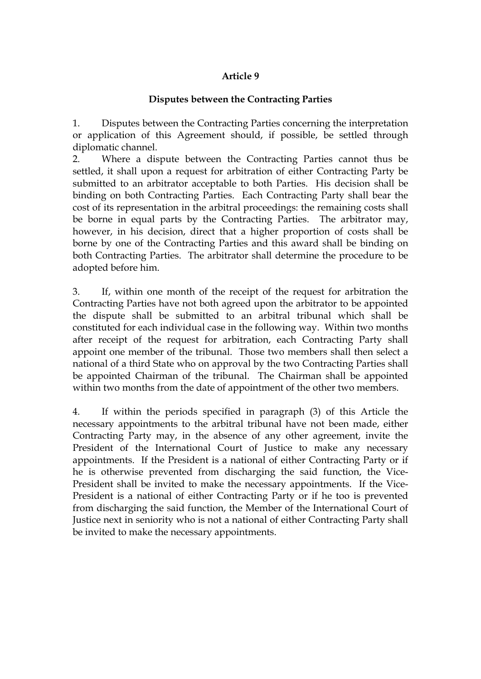### **Disputes between the Contracting Parties**

1. Disputes between the Contracting Parties concerning the interpretation or application of this Agreement should, if possible, be settled through diplomatic channel.

2. Where a dispute between the Contracting Parties cannot thus be settled, it shall upon a request for arbitration of either Contracting Party be submitted to an arbitrator acceptable to both Parties. His decision shall be binding on both Contracting Parties. Each Contracting Party shall bear the cost of its representation in the arbitral proceedings: the remaining costs shall be borne in equal parts by the Contracting Parties. The arbitrator may, however, in his decision, direct that a higher proportion of costs shall be borne by one of the Contracting Parties and this award shall be binding on both Contracting Parties. The arbitrator shall determine the procedure to be adopted before him.

3. If, within one month of the receipt of the request for arbitration the Contracting Parties have not both agreed upon the arbitrator to be appointed the dispute shall be submitted to an arbitral tribunal which shall be constituted for each individual case in the following way. Within two months after receipt of the request for arbitration, each Contracting Party shall appoint one member of the tribunal. Those two members shall then select a national of a third State who on approval by the two Contracting Parties shall be appointed Chairman of the tribunal. The Chairman shall be appointed within two months from the date of appointment of the other two members.

4. If within the periods specified in paragraph (3) of this Article the necessary appointments to the arbitral tribunal have not been made, either Contracting Party may, in the absence of any other agreement, invite the President of the International Court of Justice to make any necessary appointments. If the President is a national of either Contracting Party or if he is otherwise prevented from discharging the said function, the Vice-President shall be invited to make the necessary appointments. If the Vice-President is a national of either Contracting Party or if he too is prevented from discharging the said function, the Member of the International Court of Justice next in seniority who is not a national of either Contracting Party shall be invited to make the necessary appointments.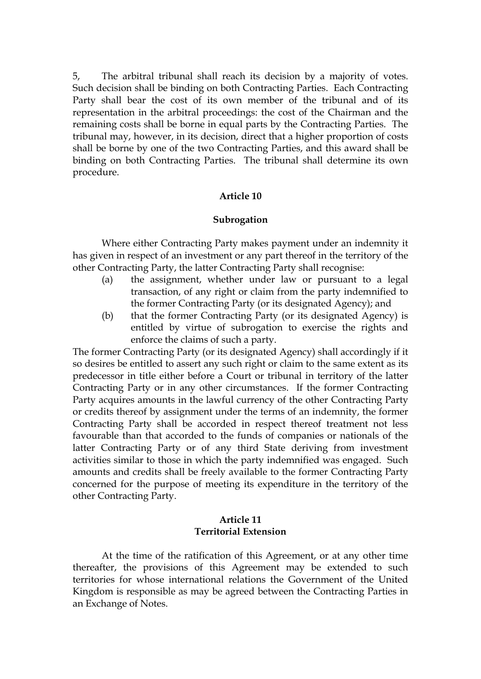5, The arbitral tribunal shall reach its decision by a majority of votes. Such decision shall be binding on both Contracting Parties. Each Contracting Party shall bear the cost of its own member of the tribunal and of its representation in the arbitral proceedings: the cost of the Chairman and the remaining costs shall be borne in equal parts by the Contracting Parties. The tribunal may, however, in its decision, direct that a higher proportion of costs shall be borne by one of the two Contracting Parties, and this award shall be binding on both Contracting Parties. The tribunal shall determine its own procedure.

#### **Article 10**

#### **Subrogation**

 Where either Contracting Party makes payment under an indemnity it has given in respect of an investment or any part thereof in the territory of the other Contracting Party, the latter Contracting Party shall recognise:

- (a) the assignment, whether under law or pursuant to a legal transaction, of any right or claim from the party indemnified to the former Contracting Party (or its designated Agency); and
- (b) that the former Contracting Party (or its designated Agency) is entitled by virtue of subrogation to exercise the rights and enforce the claims of such a party.

The former Contracting Party (or its designated Agency) shall accordingly if it so desires be entitled to assert any such right or claim to the same extent as its predecessor in title either before a Court or tribunal in territory of the latter Contracting Party or in any other circumstances. If the former Contracting Party acquires amounts in the lawful currency of the other Contracting Party or credits thereof by assignment under the terms of an indemnity, the former Contracting Party shall be accorded in respect thereof treatment not less favourable than that accorded to the funds of companies or nationals of the latter Contracting Party or of any third State deriving from investment activities similar to those in which the party indemnified was engaged. Such amounts and credits shall be freely available to the former Contracting Party concerned for the purpose of meeting its expenditure in the territory of the other Contracting Party.

#### **Article 11 Territorial Extension**

 At the time of the ratification of this Agreement, or at any other time thereafter, the provisions of this Agreement may be extended to such territories for whose international relations the Government of the United Kingdom is responsible as may be agreed between the Contracting Parties in an Exchange of Notes.